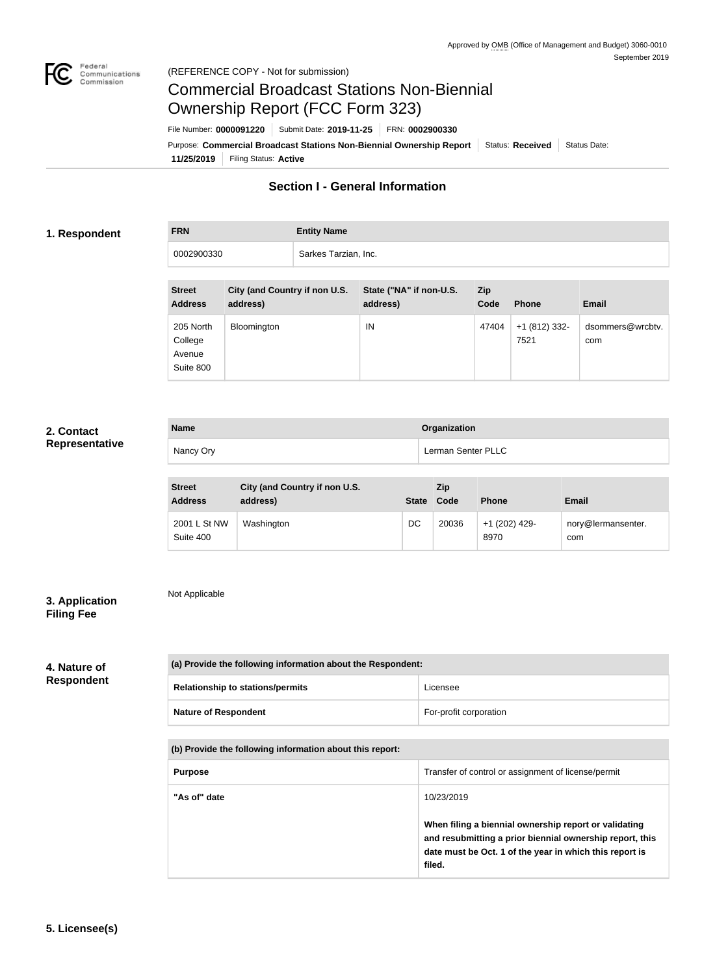

# Commercial Broadcast Stations Non-Biennial Ownership Report (FCC Form 323)

**11/25/2019** Filing Status: **Active** Purpose: Commercial Broadcast Stations Non-Biennial Ownership Report Status: Received Status Date: File Number: **0000091220** Submit Date: **2019-11-25** FRN: **0002900330**

# **Section I - General Information**

### **1. Respondent**

**FRN Entity Name**

0002900330 Sarkes Tarzian, Inc.

| <b>Street</b>  | City (and Country if non U.S. | State ("NA" if non-U.S. | <b>Zip</b> |               |                  |
|----------------|-------------------------------|-------------------------|------------|---------------|------------------|
| <b>Address</b> | address)                      | address)                | Code       | <b>Phone</b>  | <b>Email</b>     |
|                |                               |                         |            |               |                  |
| 205 North      | Bloomington                   | IN                      | 47404      | +1 (812) 332- | dsommers@wrcbtv. |
| College        |                               |                         |            | 7521          | com              |
| Avenue         |                               |                         |            |               |                  |
| Suite 800      |                               |                         |            |               |                  |

# **2. Contact Representative**

| <b>Name</b> | Organization       |
|-------------|--------------------|
| Nancy Ory   | Lerman Senter PLLC |

| <b>Street</b><br><b>Address</b> | City (and Country if non U.S.<br>address) | <b>State</b> | Zip<br>Code | <b>Phone</b>          | Email                     |
|---------------------------------|-------------------------------------------|--------------|-------------|-----------------------|---------------------------|
| 2001 L St NW<br>Suite 400       | Washington                                | DC           | 20036       | +1 (202) 429-<br>8970 | nory@lermansenter.<br>com |

# **3. Application Filing Fee**

Not Applicable

# **4. Nature of Respondent**

| (a) Provide the following information about the Respondent: |                        |
|-------------------------------------------------------------|------------------------|
| <b>Relationship to stations/permits</b>                     | Licensee               |
| <b>Nature of Respondent</b>                                 | For-profit corporation |

## **(b) Provide the following information about this report:**

| <b>Purpose</b> | Transfer of control or assignment of license/permit                                                                                                                                                  |
|----------------|------------------------------------------------------------------------------------------------------------------------------------------------------------------------------------------------------|
| "As of" date   | 10/23/2019<br>When filing a biennial ownership report or validating<br>and resubmitting a prior biennial ownership report, this<br>date must be Oct. 1 of the year in which this report is<br>filed. |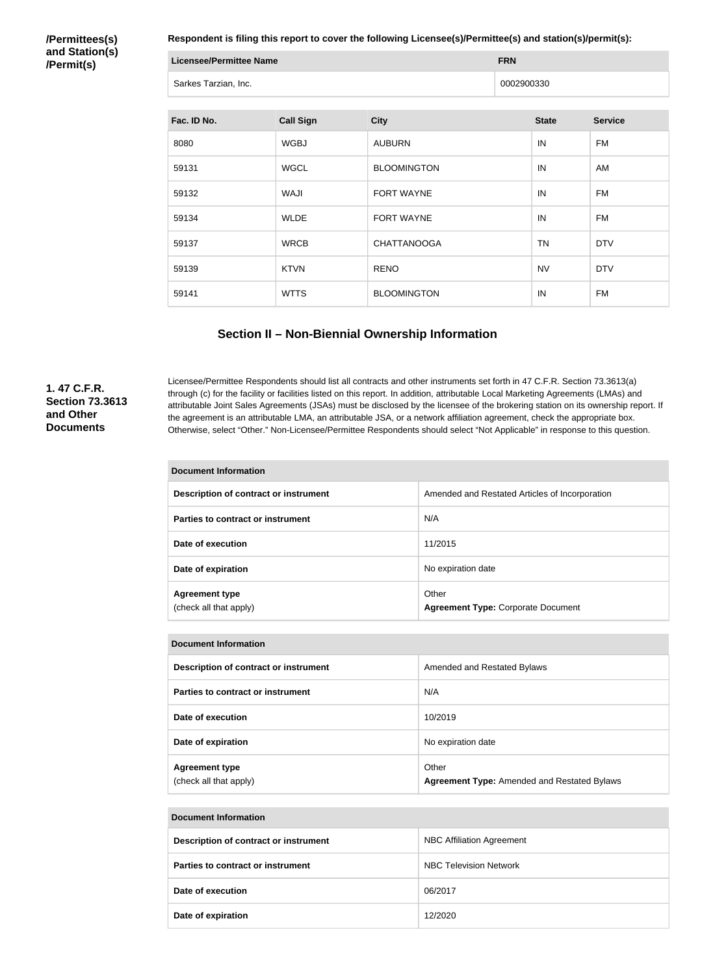**/Permittees(s) and Station(s) /Permit(s)**

**Respondent is filing this report to cover the following Licensee(s)/Permittee(s) and station(s)/permit(s):**

| <b>Licensee/Permittee Name</b> | <b>FRN</b> |
|--------------------------------|------------|
| Sarkes Tarzian, Inc.           | 0002900330 |

| Fac. ID No. | <b>Call Sign</b> | <b>City</b>        | <b>State</b> | <b>Service</b> |
|-------------|------------------|--------------------|--------------|----------------|
| 8080        | <b>WGBJ</b>      | <b>AUBURN</b>      | IN           | <b>FM</b>      |
| 59131       | <b>WGCL</b>      | <b>BLOOMINGTON</b> | IN           | AM             |
| 59132       | <b>WAJI</b>      | <b>FORT WAYNE</b>  | IN           | <b>FM</b>      |
| 59134       | <b>WLDE</b>      | FORT WAYNE         | IN           | <b>FM</b>      |
| 59137       | <b>WRCB</b>      | <b>CHATTANOOGA</b> | <b>TN</b>    | <b>DTV</b>     |
| 59139       | <b>KTVN</b>      | <b>RENO</b>        | <b>NV</b>    | <b>DTV</b>     |
| 59141       | <b>WTTS</b>      | <b>BLOOMINGTON</b> | IN           | <b>FM</b>      |

## **Section II – Non-Biennial Ownership Information**

## **1. 47 C.F.R. Section 73.3613 and Other Documents**

Licensee/Permittee Respondents should list all contracts and other instruments set forth in 47 C.F.R. Section 73.3613(a) through (c) for the facility or facilities listed on this report. In addition, attributable Local Marketing Agreements (LMAs) and attributable Joint Sales Agreements (JSAs) must be disclosed by the licensee of the brokering station on its ownership report. If the agreement is an attributable LMA, an attributable JSA, or a network affiliation agreement, check the appropriate box. Otherwise, select "Other." Non-Licensee/Permittee Respondents should select "Not Applicable" in response to this question.

| Document Information                            |                                                    |  |
|-------------------------------------------------|----------------------------------------------------|--|
| Description of contract or instrument           | Amended and Restated Articles of Incorporation     |  |
| Parties to contract or instrument               | N/A                                                |  |
| Date of execution                               | 11/2015                                            |  |
| Date of expiration                              | No expiration date                                 |  |
| <b>Agreement type</b><br>(check all that apply) | Other<br><b>Agreement Type: Corporate Document</b> |  |

| <b>Document Information</b>                     |                                                             |  |
|-------------------------------------------------|-------------------------------------------------------------|--|
| Description of contract or instrument           | Amended and Restated Bylaws                                 |  |
| Parties to contract or instrument               | N/A                                                         |  |
| Date of execution                               | 10/2019                                                     |  |
| Date of expiration                              | No expiration date                                          |  |
| <b>Agreement type</b><br>(check all that apply) | Other<br><b>Agreement Type: Amended and Restated Bylaws</b> |  |

#### **Document Information**

| Description of contract or instrument    | <b>NBC Affiliation Agreement</b> |
|------------------------------------------|----------------------------------|
| <b>Parties to contract or instrument</b> | <b>NBC Television Network</b>    |
| Date of execution                        | 06/2017                          |
| Date of expiration                       | 12/2020                          |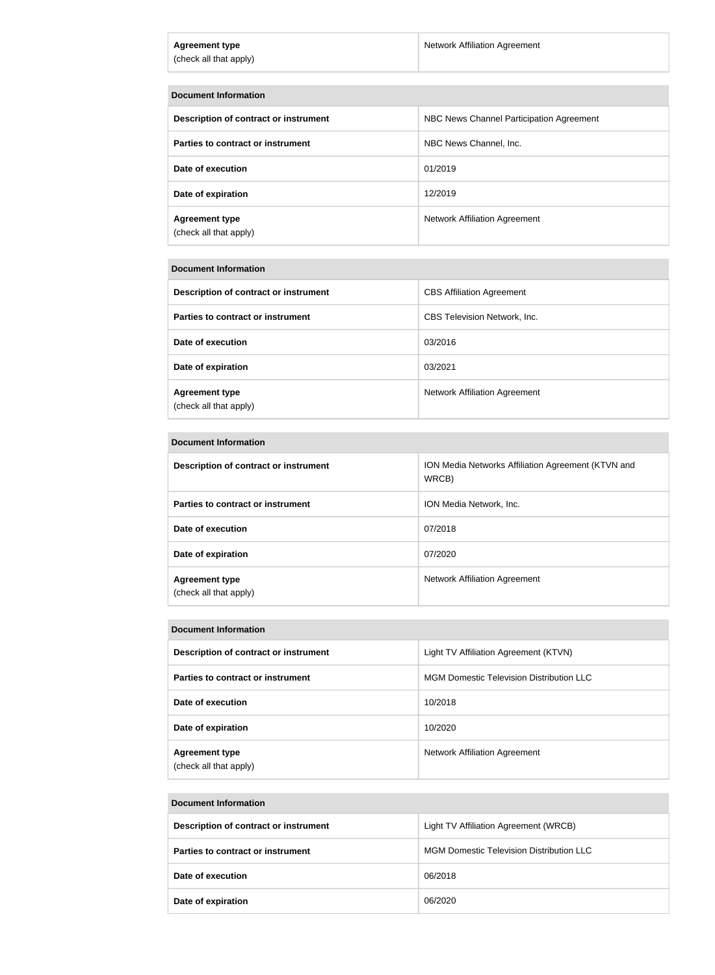| <b>Agreement type</b><br>(check all that apply) | <b>Network Affiliation Agreement</b>     |
|-------------------------------------------------|------------------------------------------|
| <b>Document Information</b>                     |                                          |
| Description of contract or instrument           | NBC News Channel Participation Agreement |
| Parties to contract or instrument               | NBC News Channel, Inc.                   |
| Date of execution                               | 01/2019                                  |
| Date of expiration                              | 12/2019                                  |
| <b>Agreement type</b><br>(check all that apply) | <b>Network Affiliation Agreement</b>     |

#### **Document Information**

| Description of contract or instrument           | <b>CBS Affiliation Agreement</b>    |
|-------------------------------------------------|-------------------------------------|
| Parties to contract or instrument               | <b>CBS Television Network, Inc.</b> |
| Date of execution                               | 03/2016                             |
| Date of expiration                              | 03/2021                             |
| <b>Agreement type</b><br>(check all that apply) | Network Affiliation Agreement       |

#### **Document Information**

| Description of contract or instrument           | ION Media Networks Affiliation Agreement (KTVN and<br>WRCB) |
|-------------------------------------------------|-------------------------------------------------------------|
| <b>Parties to contract or instrument</b>        | ION Media Network, Inc.                                     |
| Date of execution                               | 07/2018                                                     |
| Date of expiration                              | 07/2020                                                     |
| <b>Agreement type</b><br>(check all that apply) | <b>Network Affiliation Agreement</b>                        |

#### **Document Information**

| Description of contract or instrument           | Light TV Affiliation Agreement (KTVN)           |
|-------------------------------------------------|-------------------------------------------------|
| Parties to contract or instrument               | <b>MGM Domestic Television Distribution LLC</b> |
| Date of execution                               | 10/2018                                         |
| Date of expiration                              | 10/2020                                         |
| <b>Agreement type</b><br>(check all that apply) | <b>Network Affiliation Agreement</b>            |

#### **Document Information**

| Description of contract or instrument    | Light TV Affiliation Agreement (WRCB)           |
|------------------------------------------|-------------------------------------------------|
| <b>Parties to contract or instrument</b> | <b>MGM Domestic Television Distribution LLC</b> |
| Date of execution                        | 06/2018                                         |
| Date of expiration                       | 06/2020                                         |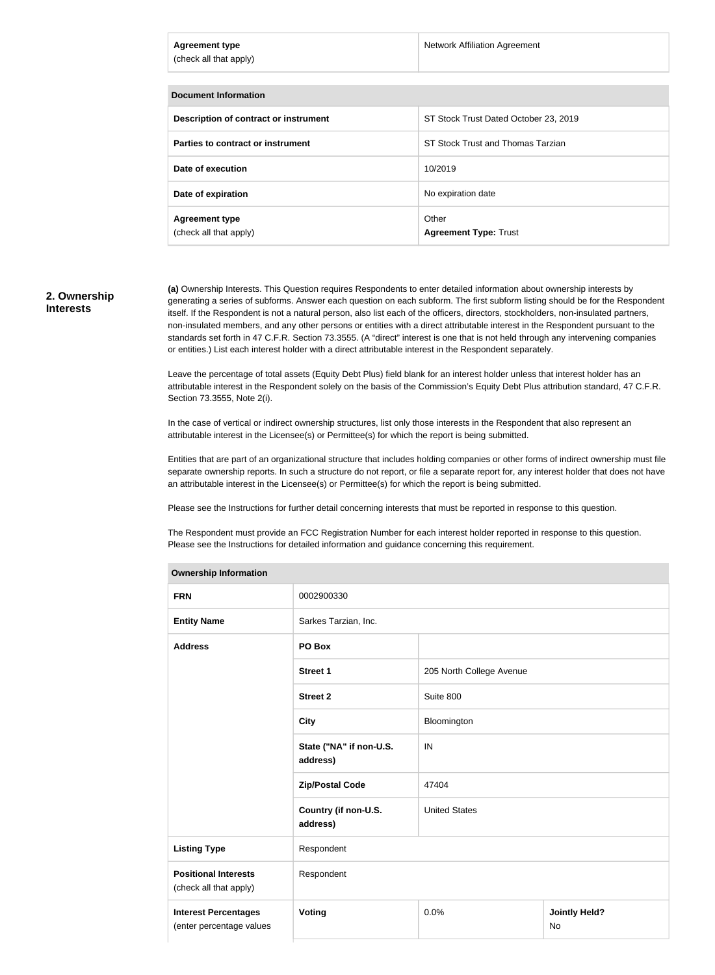| <b>Agreement type</b><br>(check all that apply) | <b>Network Affiliation Agreement</b>  |
|-------------------------------------------------|---------------------------------------|
| <b>Document Information</b>                     |                                       |
| Description of contract or instrument           | ST Stock Trust Dated October 23, 2019 |
| Parties to contract or instrument               | ST Stock Trust and Thomas Tarzian     |
| Date of execution                               | 10/2019                               |
| Date of expiration                              | No expiration date                    |
| <b>Agreement type</b><br>(check all that apply) | Other<br><b>Agreement Type: Trust</b> |

#### **2. Ownership Interests**

**(a)** Ownership Interests. This Question requires Respondents to enter detailed information about ownership interests by generating a series of subforms. Answer each question on each subform. The first subform listing should be for the Respondent itself. If the Respondent is not a natural person, also list each of the officers, directors, stockholders, non-insulated partners, non-insulated members, and any other persons or entities with a direct attributable interest in the Respondent pursuant to the standards set forth in 47 C.F.R. Section 73.3555. (A "direct" interest is one that is not held through any intervening companies or entities.) List each interest holder with a direct attributable interest in the Respondent separately.

Leave the percentage of total assets (Equity Debt Plus) field blank for an interest holder unless that interest holder has an attributable interest in the Respondent solely on the basis of the Commission's Equity Debt Plus attribution standard, 47 C.F.R. Section 73.3555, Note 2(i).

In the case of vertical or indirect ownership structures, list only those interests in the Respondent that also represent an attributable interest in the Licensee(s) or Permittee(s) for which the report is being submitted.

Entities that are part of an organizational structure that includes holding companies or other forms of indirect ownership must file separate ownership reports. In such a structure do not report, or file a separate report for, any interest holder that does not have an attributable interest in the Licensee(s) or Permittee(s) for which the report is being submitted.

Please see the Instructions for further detail concerning interests that must be reported in response to this question.

The Respondent must provide an FCC Registration Number for each interest holder reported in response to this question. Please see the Instructions for detailed information and guidance concerning this requirement.

| Ownership information               |                          |                            |  |
|-------------------------------------|--------------------------|----------------------------|--|
| 0002900330                          |                          |                            |  |
| Sarkes Tarzian, Inc.                |                          |                            |  |
| PO Box                              |                          |                            |  |
| <b>Street 1</b>                     | 205 North College Avenue |                            |  |
| <b>Street 2</b>                     | Suite 800                |                            |  |
| <b>City</b>                         | Bloomington              |                            |  |
| State ("NA" if non-U.S.<br>address) | IN                       |                            |  |
| <b>Zip/Postal Code</b>              | 47404                    |                            |  |
| Country (if non-U.S.<br>address)    | <b>United States</b>     |                            |  |
| Respondent                          |                          |                            |  |
| Respondent                          |                          |                            |  |
| Voting                              | 0.0%                     | <b>Jointly Held?</b><br>No |  |
|                                     |                          |                            |  |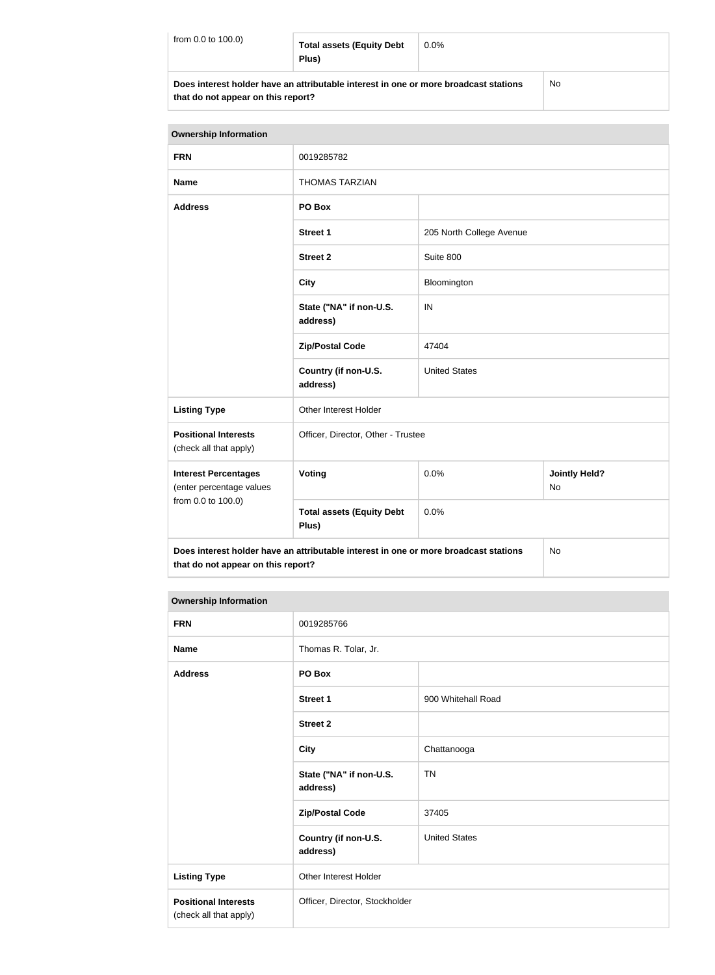| from 0.0 to 100.0) | <b>Total assets (Equity Debt</b><br>Plus)                                            | $0.0\%$ |           |
|--------------------|--------------------------------------------------------------------------------------|---------|-----------|
|                    | Does interest holder have an attributable interest in one or more broadcast stations |         | <b>No</b> |

**that do not appear on this report?**

| <b>Ownership Information</b>                            |                                                                                                           |                      |                      |
|---------------------------------------------------------|-----------------------------------------------------------------------------------------------------------|----------------------|----------------------|
| <b>FRN</b>                                              | 0019285782                                                                                                |                      |                      |
| <b>Name</b>                                             | <b>THOMAS TARZIAN</b>                                                                                     |                      |                      |
| <b>Address</b>                                          | PO Box                                                                                                    |                      |                      |
|                                                         | <b>Street 1</b><br>205 North College Avenue<br>Suite 800<br><b>Street 2</b><br><b>City</b><br>Bloomington |                      |                      |
|                                                         |                                                                                                           |                      |                      |
|                                                         |                                                                                                           |                      |                      |
|                                                         | State ("NA" if non-U.S.<br>address)                                                                       | IN                   |                      |
|                                                         | 47404<br><b>Zip/Postal Code</b>                                                                           |                      |                      |
|                                                         | Country (if non-U.S.<br>address)                                                                          | <b>United States</b> |                      |
| <b>Listing Type</b>                                     | Other Interest Holder                                                                                     |                      |                      |
| <b>Positional Interests</b><br>(check all that apply)   | Officer, Director, Other - Trustee                                                                        |                      |                      |
| <b>Interest Percentages</b><br>(enter percentage values | <b>Voting</b><br>0.0%<br><b>No</b>                                                                        |                      | <b>Jointly Held?</b> |
| from 0.0 to 100.0)                                      | <b>Total assets (Equity Debt</b><br>Plus)                                                                 | 0.0%                 |                      |
| that do not appear on this report?                      | Does interest holder have an attributable interest in one or more broadcast stations                      |                      | <b>No</b>            |

| <b>FRN</b>                                            | 0019285766                          |                      |
|-------------------------------------------------------|-------------------------------------|----------------------|
| <b>Name</b>                                           | Thomas R. Tolar, Jr.                |                      |
| <b>Address</b>                                        | PO Box                              |                      |
|                                                       | <b>Street 1</b>                     | 900 Whitehall Road   |
|                                                       | <b>Street 2</b>                     |                      |
|                                                       | <b>City</b>                         | Chattanooga          |
|                                                       | State ("NA" if non-U.S.<br>address) | <b>TN</b>            |
|                                                       | <b>Zip/Postal Code</b>              | 37405                |
|                                                       | Country (if non-U.S.<br>address)    | <b>United States</b> |
| <b>Listing Type</b>                                   | <b>Other Interest Holder</b>        |                      |
| <b>Positional Interests</b><br>(check all that apply) | Officer, Director, Stockholder      |                      |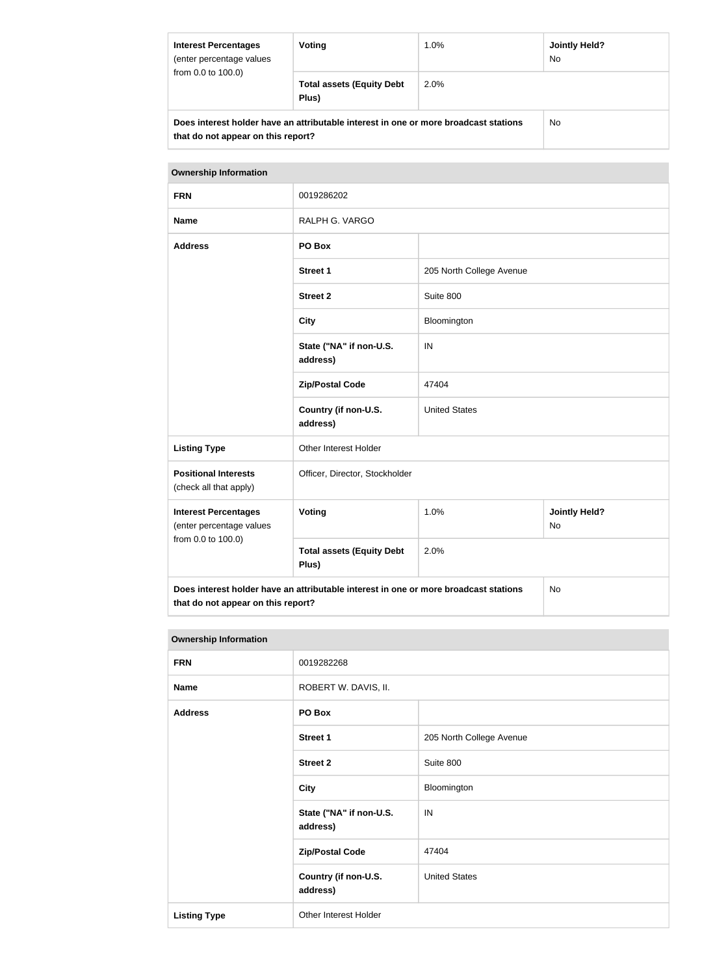| <b>Interest Percentages</b><br>(enter percentage values<br>from 0.0 to 100.0)                                              | Voting                                    | 1.0%    | <b>Jointly Held?</b><br>No. |
|----------------------------------------------------------------------------------------------------------------------------|-------------------------------------------|---------|-----------------------------|
|                                                                                                                            | <b>Total assets (Equity Debt</b><br>Plus) | $2.0\%$ |                             |
| Does interest holder have an attributable interest in one or more broadcast stations<br>that do not appear on this report? |                                           |         | No.                         |

# **Ownership Information FRN** 0019286202 **Name** RALPH G. VARGO **Address PO Box Street 1** 205 North College Avenue **Street 2** Suite 800 **City** Bloomington **State ("NA" if non-U.S. address)** IN **Zip/Postal Code** 47404 **Country (if non-U.S. address)** United States Listing Type **Communist Communist Communist Communist Communist Communist Communist Communist Communist Communist Communist Communist Communist Communist Communist Communist Communist Communist Communist Communist Communis Positional Interests** (check all that apply) Officer, Director, Stockholder **Interest Percentages** (enter percentage values from 0.0 to 100.0) **Voting** 1.0% **Jointly Held?** No **Total assets (Equity Debt Plus)** 2.0% **Does interest holder have an attributable interest in one or more broadcast stations that do not appear on this report?** No

| <b>FRN</b>          | 0019282268                          |                          |  |
|---------------------|-------------------------------------|--------------------------|--|
| <b>Name</b>         | ROBERT W. DAVIS, II.                |                          |  |
| <b>Address</b>      | PO Box                              |                          |  |
|                     | <b>Street 1</b>                     | 205 North College Avenue |  |
|                     | <b>Street 2</b>                     | Suite 800                |  |
|                     | <b>City</b>                         | Bloomington              |  |
|                     | State ("NA" if non-U.S.<br>address) | IN                       |  |
|                     | <b>Zip/Postal Code</b>              | 47404                    |  |
|                     | Country (if non-U.S.<br>address)    | <b>United States</b>     |  |
| <b>Listing Type</b> | Other Interest Holder               |                          |  |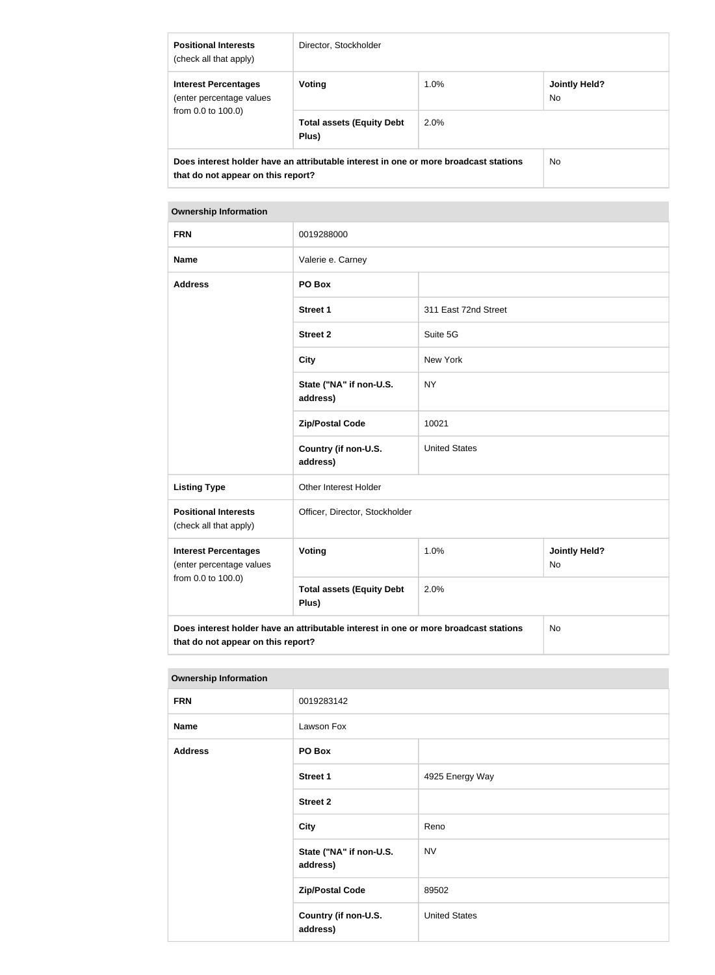| <b>Positional Interests</b><br>(check all that apply)                                                                      | Director, Stockholder                     |      |                             |
|----------------------------------------------------------------------------------------------------------------------------|-------------------------------------------|------|-----------------------------|
| <b>Interest Percentages</b><br>(enter percentage values<br>from $0.0$ to $100.0$ )                                         | Voting                                    | 1.0% | <b>Jointly Held?</b><br>No. |
|                                                                                                                            | <b>Total assets (Equity Debt</b><br>Plus) | 2.0% |                             |
| Does interest holder have an attributable interest in one or more broadcast stations<br>that do not appear on this report? |                                           | No.  |                             |

| <b>FRN</b>                                                                                                                              | 0019288000                                |                      |                            |  |
|-----------------------------------------------------------------------------------------------------------------------------------------|-------------------------------------------|----------------------|----------------------------|--|
| <b>Name</b>                                                                                                                             | Valerie e. Carney                         |                      |                            |  |
| <b>Address</b>                                                                                                                          | PO Box                                    |                      |                            |  |
|                                                                                                                                         | <b>Street 1</b>                           | 311 East 72nd Street |                            |  |
|                                                                                                                                         | <b>Street 2</b>                           | Suite 5G             |                            |  |
|                                                                                                                                         | <b>City</b>                               | New York             |                            |  |
|                                                                                                                                         | State ("NA" if non-U.S.<br>address)       | <b>NY</b>            |                            |  |
|                                                                                                                                         | <b>Zip/Postal Code</b>                    | 10021                |                            |  |
|                                                                                                                                         | Country (if non-U.S.<br>address)          | <b>United States</b> |                            |  |
| <b>Listing Type</b>                                                                                                                     | Other Interest Holder                     |                      |                            |  |
| <b>Positional Interests</b><br>(check all that apply)                                                                                   | Officer, Director, Stockholder            |                      |                            |  |
| <b>Interest Percentages</b><br>(enter percentage values<br>from 0.0 to 100.0)                                                           | Voting                                    | 1.0%                 | <b>Jointly Held?</b><br>No |  |
|                                                                                                                                         | <b>Total assets (Equity Debt</b><br>Plus) | 2.0%                 |                            |  |
| Does interest holder have an attributable interest in one or more broadcast stations<br><b>No</b><br>that do not appear on this report? |                                           |                      |                            |  |

| <b>FRN</b>     | 0019283142                          |                      |
|----------------|-------------------------------------|----------------------|
| <b>Name</b>    | Lawson Fox                          |                      |
| <b>Address</b> | PO Box                              |                      |
|                | <b>Street 1</b>                     | 4925 Energy Way      |
|                | <b>Street 2</b>                     |                      |
|                | <b>City</b>                         | Reno                 |
|                | State ("NA" if non-U.S.<br>address) | <b>NV</b>            |
|                | <b>Zip/Postal Code</b>              | 89502                |
|                | Country (if non-U.S.<br>address)    | <b>United States</b> |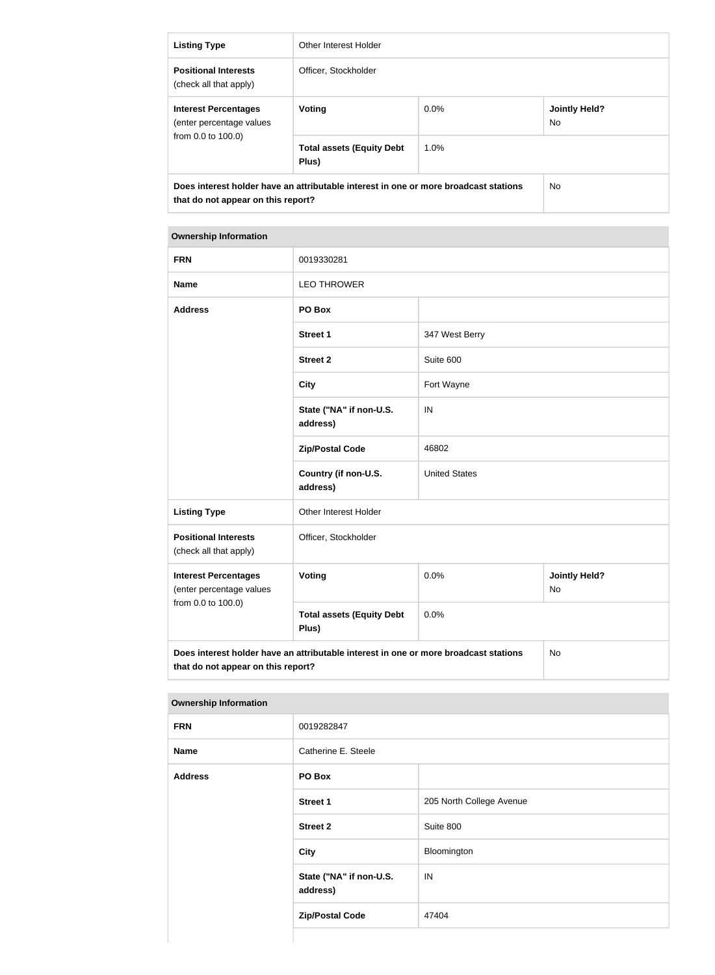| <b>Listing Type</b>                                                                                                        | Other Interest Holder                     |         |                             |
|----------------------------------------------------------------------------------------------------------------------------|-------------------------------------------|---------|-----------------------------|
| <b>Positional Interests</b><br>(check all that apply)                                                                      | Officer, Stockholder                      |         |                             |
| <b>Interest Percentages</b><br>(enter percentage values<br>from $0.0$ to $100.0$ )                                         | Voting                                    | $0.0\%$ | <b>Jointly Held?</b><br>No. |
|                                                                                                                            | <b>Total assets (Equity Debt</b><br>Plus) | 1.0%    |                             |
| Does interest holder have an attributable interest in one or more broadcast stations<br>that do not appear on this report? |                                           |         | No.                         |

| <b>FRN</b>                                                                                                                       | 0019330281                                |                      |                                   |
|----------------------------------------------------------------------------------------------------------------------------------|-------------------------------------------|----------------------|-----------------------------------|
| <b>Name</b>                                                                                                                      | <b>LEO THROWER</b>                        |                      |                                   |
| <b>Address</b>                                                                                                                   | PO Box                                    |                      |                                   |
|                                                                                                                                  | <b>Street 1</b>                           | 347 West Berry       |                                   |
|                                                                                                                                  | <b>Street 2</b>                           | Suite 600            |                                   |
|                                                                                                                                  | <b>City</b>                               | Fort Wayne           |                                   |
|                                                                                                                                  | State ("NA" if non-U.S.<br>address)       | IN                   |                                   |
|                                                                                                                                  | <b>Zip/Postal Code</b>                    | 46802                |                                   |
|                                                                                                                                  | Country (if non-U.S.<br>address)          | <b>United States</b> |                                   |
| <b>Listing Type</b>                                                                                                              | Other Interest Holder                     |                      |                                   |
| <b>Positional Interests</b><br>(check all that apply)                                                                            | Officer, Stockholder                      |                      |                                   |
| <b>Interest Percentages</b><br>(enter percentage values<br>from 0.0 to 100.0)                                                    | Voting                                    | 0.0%                 | <b>Jointly Held?</b><br><b>No</b> |
|                                                                                                                                  | <b>Total assets (Equity Debt</b><br>Plus) | 0.0%                 |                                   |
| Does interest holder have an attributable interest in one or more broadcast stations<br>No<br>that do not appear on this report? |                                           |                      |                                   |

| <b>FRN</b>  | 0019282847                          |                          |
|-------------|-------------------------------------|--------------------------|
| <b>Name</b> | Catherine E. Steele                 |                          |
| Address     | PO Box                              |                          |
|             | <b>Street 1</b>                     | 205 North College Avenue |
|             | <b>Street 2</b>                     | Suite 800                |
|             | <b>City</b>                         | Bloomington              |
|             | State ("NA" if non-U.S.<br>address) | IN                       |
|             | <b>Zip/Postal Code</b>              | 47404                    |
|             |                                     |                          |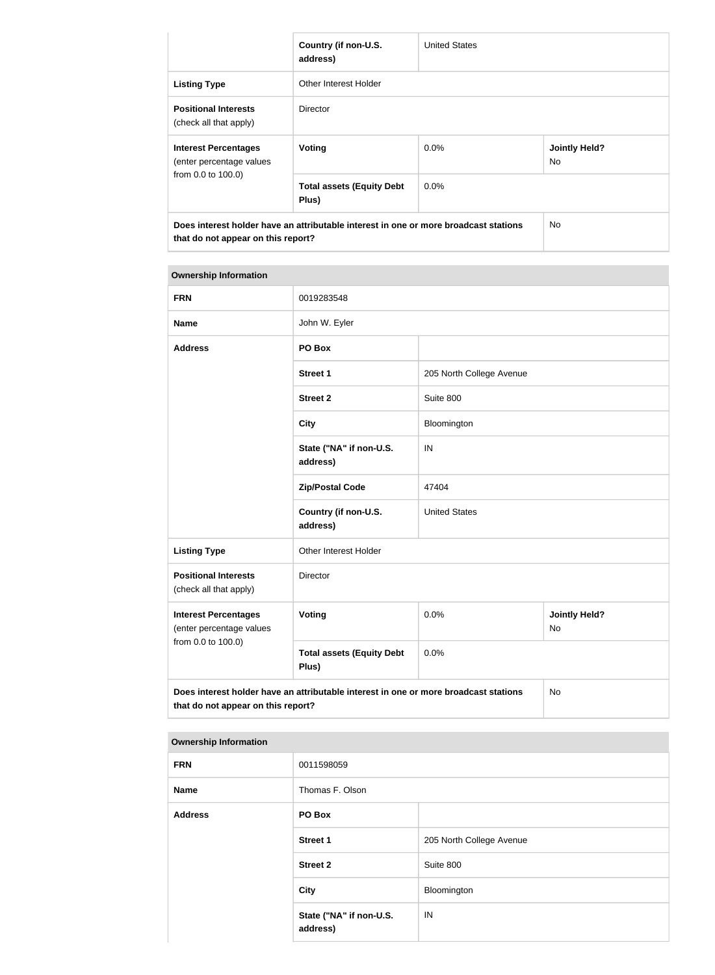|                                                                                                                            | Country (if non-U.S.<br>address)          | <b>United States</b> |                             |
|----------------------------------------------------------------------------------------------------------------------------|-------------------------------------------|----------------------|-----------------------------|
| <b>Listing Type</b>                                                                                                        | Other Interest Holder                     |                      |                             |
| <b>Positional Interests</b><br>(check all that apply)                                                                      | Director                                  |                      |                             |
| <b>Interest Percentages</b><br>(enter percentage values<br>from 0.0 to 100.0)                                              | Voting                                    | $0.0\%$              | <b>Jointly Held?</b><br>No. |
|                                                                                                                            | <b>Total assets (Equity Debt</b><br>Plus) | $0.0\%$              |                             |
| Does interest holder have an attributable interest in one or more broadcast stations<br>that do not appear on this report? |                                           | No.                  |                             |

| <b>FRN</b>                                                                    | 0019283548                                                                           |                          |                            |
|-------------------------------------------------------------------------------|--------------------------------------------------------------------------------------|--------------------------|----------------------------|
| <b>Name</b>                                                                   | John W. Eyler                                                                        |                          |                            |
| <b>Address</b>                                                                | PO Box                                                                               |                          |                            |
|                                                                               | <b>Street 1</b>                                                                      | 205 North College Avenue |                            |
|                                                                               | <b>Street 2</b>                                                                      | Suite 800                |                            |
|                                                                               | <b>City</b>                                                                          | Bloomington              |                            |
|                                                                               | State ("NA" if non-U.S.<br>address)                                                  | IN                       |                            |
|                                                                               | <b>Zip/Postal Code</b>                                                               | 47404                    |                            |
|                                                                               | Country (if non-U.S.<br>address)                                                     | <b>United States</b>     |                            |
| <b>Listing Type</b>                                                           | Other Interest Holder                                                                |                          |                            |
| <b>Positional Interests</b><br>(check all that apply)                         | Director                                                                             |                          |                            |
| <b>Interest Percentages</b><br>(enter percentage values<br>from 0.0 to 100.0) | Voting                                                                               | 0.0%                     | <b>Jointly Held?</b><br>No |
|                                                                               | <b>Total assets (Equity Debt</b><br>Plus)                                            | 0.0%                     |                            |
| that do not appear on this report?                                            | Does interest holder have an attributable interest in one or more broadcast stations |                          | No                         |

| ,,,,,,,,,,,,,,,,,,,,,,,,,,,,, |                                     |                          |
|-------------------------------|-------------------------------------|--------------------------|
| <b>FRN</b>                    | 0011598059                          |                          |
| <b>Name</b>                   | Thomas F. Olson                     |                          |
| <b>Address</b>                | PO Box                              |                          |
|                               | <b>Street 1</b>                     | 205 North College Avenue |
|                               | <b>Street 2</b>                     | Suite 800                |
|                               | <b>City</b>                         | Bloomington              |
|                               | State ("NA" if non-U.S.<br>address) | IN                       |
|                               |                                     |                          |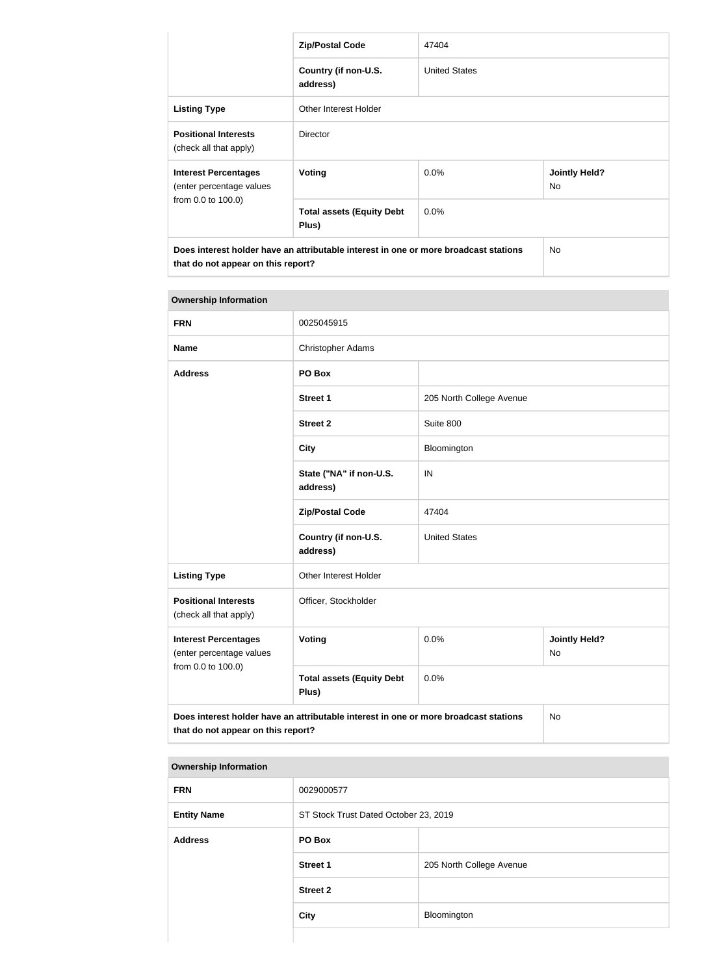|                                                                                                                            | <b>Zip/Postal Code</b>                    | 47404                |                             |
|----------------------------------------------------------------------------------------------------------------------------|-------------------------------------------|----------------------|-----------------------------|
|                                                                                                                            | Country (if non-U.S.<br>address)          | <b>United States</b> |                             |
| <b>Listing Type</b>                                                                                                        | Other Interest Holder                     |                      |                             |
| <b>Positional Interests</b><br>(check all that apply)                                                                      | <b>Director</b>                           |                      |                             |
| <b>Interest Percentages</b><br>(enter percentage values<br>from 0.0 to 100.0)                                              | Voting                                    | $0.0\%$              | <b>Jointly Held?</b><br>No. |
|                                                                                                                            | <b>Total assets (Equity Debt</b><br>Plus) | $0.0\%$              |                             |
| Does interest holder have an attributable interest in one or more broadcast stations<br>that do not appear on this report? |                                           | No.                  |                             |

| <b>Ownership Information</b>                                                                                                     |                                           |                                    |  |
|----------------------------------------------------------------------------------------------------------------------------------|-------------------------------------------|------------------------------------|--|
| <b>FRN</b>                                                                                                                       | 0025045915                                |                                    |  |
| <b>Name</b>                                                                                                                      | <b>Christopher Adams</b>                  |                                    |  |
| <b>Address</b>                                                                                                                   | PO Box                                    |                                    |  |
|                                                                                                                                  | <b>Street 1</b>                           | 205 North College Avenue           |  |
|                                                                                                                                  | <b>Street 2</b>                           | Suite 800                          |  |
|                                                                                                                                  | <b>City</b>                               | Bloomington                        |  |
|                                                                                                                                  | State ("NA" if non-U.S.<br>address)       | IN                                 |  |
|                                                                                                                                  | <b>Zip/Postal Code</b>                    | 47404                              |  |
|                                                                                                                                  | Country (if non-U.S.<br>address)          | <b>United States</b>               |  |
| <b>Listing Type</b>                                                                                                              | Other Interest Holder                     |                                    |  |
| <b>Positional Interests</b><br>(check all that apply)                                                                            | Officer, Stockholder                      |                                    |  |
| <b>Interest Percentages</b><br>(enter percentage values<br>from 0.0 to 100.0)                                                    | Voting                                    | 0.0%<br><b>Jointly Held?</b><br>No |  |
|                                                                                                                                  | <b>Total assets (Equity Debt</b><br>Plus) | 0.0%                               |  |
| Does interest holder have an attributable interest in one or more broadcast stations<br>No<br>that do not appear on this report? |                                           |                                    |  |

| <b>FRN</b>         | 0029000577                            |                          |
|--------------------|---------------------------------------|--------------------------|
| <b>Entity Name</b> | ST Stock Trust Dated October 23, 2019 |                          |
| <b>Address</b>     | PO Box                                |                          |
|                    | <b>Street 1</b>                       | 205 North College Avenue |
|                    | <b>Street 2</b>                       |                          |
|                    | <b>City</b>                           | Bloomington              |
|                    |                                       |                          |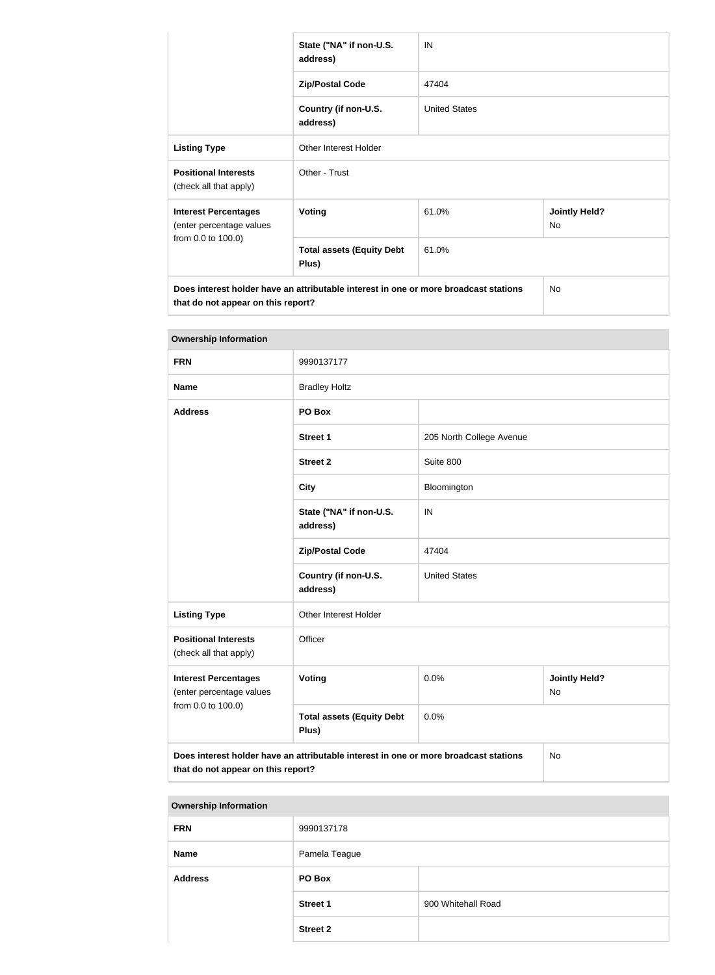|                                                         | State ("NA" if non-U.S.<br>address)                                                  | IN                   |                            |
|---------------------------------------------------------|--------------------------------------------------------------------------------------|----------------------|----------------------------|
|                                                         | <b>Zip/Postal Code</b>                                                               | 47404                |                            |
|                                                         | Country (if non-U.S.<br>address)                                                     | <b>United States</b> |                            |
| <b>Listing Type</b>                                     | <b>Other Interest Holder</b>                                                         |                      |                            |
| <b>Positional Interests</b><br>(check all that apply)   | Other - Trust                                                                        |                      |                            |
| <b>Interest Percentages</b><br>(enter percentage values | <b>Voting</b>                                                                        | 61.0%                | <b>Jointly Held?</b><br>No |
| from 0.0 to 100.0)                                      | <b>Total assets (Equity Debt</b><br>Plus)                                            | 61.0%                |                            |
| that do not appear on this report?                      | Does interest holder have an attributable interest in one or more broadcast stations |                      | No                         |

| <b>Ownership Information</b>                                                                                                     |                                           |                          |                            |
|----------------------------------------------------------------------------------------------------------------------------------|-------------------------------------------|--------------------------|----------------------------|
| <b>FRN</b>                                                                                                                       | 9990137177                                |                          |                            |
| <b>Name</b>                                                                                                                      | <b>Bradley Holtz</b>                      |                          |                            |
| <b>Address</b>                                                                                                                   | PO Box                                    |                          |                            |
|                                                                                                                                  | <b>Street 1</b>                           | 205 North College Avenue |                            |
|                                                                                                                                  | <b>Street 2</b>                           | Suite 800                |                            |
|                                                                                                                                  | <b>City</b>                               | Bloomington              |                            |
|                                                                                                                                  | State ("NA" if non-U.S.<br>address)       | IN                       |                            |
|                                                                                                                                  | <b>Zip/Postal Code</b>                    | 47404                    |                            |
|                                                                                                                                  | Country (if non-U.S.<br>address)          | <b>United States</b>     |                            |
| <b>Listing Type</b>                                                                                                              | Other Interest Holder                     |                          |                            |
| <b>Positional Interests</b><br>(check all that apply)                                                                            | Officer                                   |                          |                            |
| <b>Interest Percentages</b><br>(enter percentage values<br>from 0.0 to 100.0)                                                    | <b>Voting</b>                             | 0.0%                     | <b>Jointly Held?</b><br>No |
|                                                                                                                                  | <b>Total assets (Equity Debt</b><br>Plus) | 0.0%                     |                            |
| Does interest holder have an attributable interest in one or more broadcast stations<br>No<br>that do not appear on this report? |                                           |                          |                            |

| 9990137178      |                    |  |
|-----------------|--------------------|--|
| Pamela Teague   |                    |  |
| PO Box          |                    |  |
| <b>Street 1</b> | 900 Whitehall Road |  |
| <b>Street 2</b> |                    |  |
|                 |                    |  |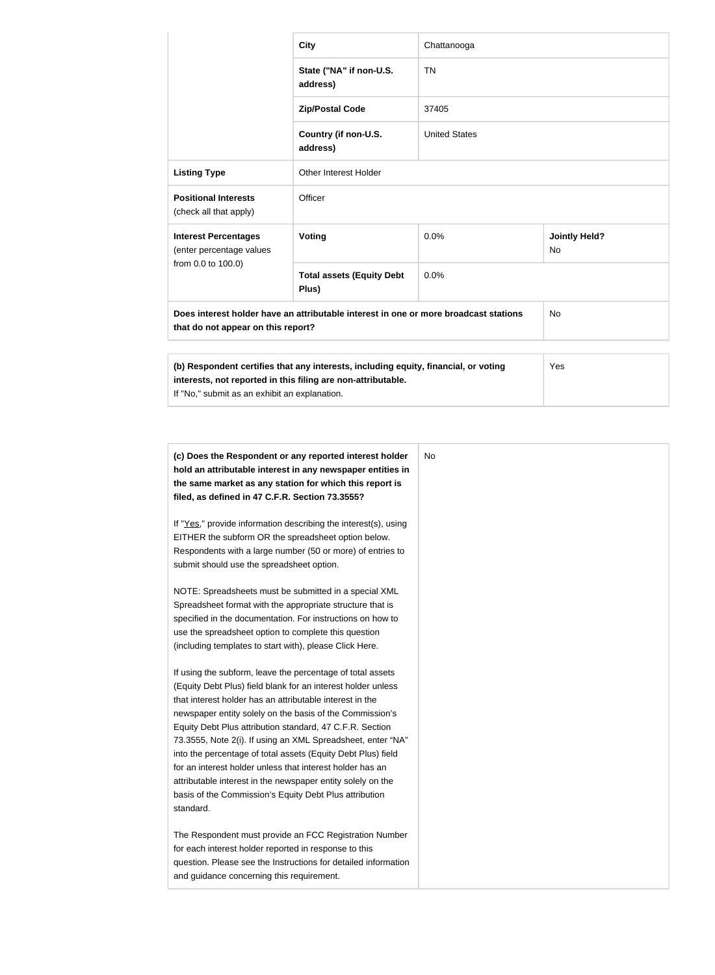|                                                                                                                            | <b>City</b>                                                                                                                                         | Chattanooga          |                                   |
|----------------------------------------------------------------------------------------------------------------------------|-----------------------------------------------------------------------------------------------------------------------------------------------------|----------------------|-----------------------------------|
|                                                                                                                            | State ("NA" if non-U.S.<br>address)                                                                                                                 | <b>TN</b>            |                                   |
|                                                                                                                            | <b>Zip/Postal Code</b>                                                                                                                              | 37405                |                                   |
|                                                                                                                            | Country (if non-U.S.<br>address)                                                                                                                    | <b>United States</b> |                                   |
| <b>Listing Type</b>                                                                                                        | <b>Other Interest Holder</b>                                                                                                                        |                      |                                   |
| <b>Positional Interests</b><br>(check all that apply)                                                                      | Officer                                                                                                                                             |                      |                                   |
| <b>Interest Percentages</b><br>(enter percentage values                                                                    | Voting                                                                                                                                              | 0.0%                 | <b>Jointly Held?</b><br><b>No</b> |
| from 0.0 to 100.0)                                                                                                         | <b>Total assets (Equity Debt</b><br>Plus)                                                                                                           | 0.0%                 |                                   |
| Does interest holder have an attributable interest in one or more broadcast stations<br>that do not appear on this report? |                                                                                                                                                     |                      | <b>No</b>                         |
|                                                                                                                            |                                                                                                                                                     |                      |                                   |
| If "No," submit as an exhibit an explanation.                                                                              | (b) Respondent certifies that any interests, including equity, financial, or voting<br>interests, not reported in this filing are non-attributable. |                      | Yes                               |

| (c) Does the Respondent or any reported interest holder         |  |
|-----------------------------------------------------------------|--|
| hold an attributable interest in any newspaper entities in      |  |
| the same market as any station for which this report is         |  |
| filed, as defined in 47 C.F.R. Section 73.3555?                 |  |
| If "Yes," provide information describing the interest(s), using |  |
| EITHER the subform OR the spreadsheet option below.             |  |
| Respondents with a large number (50 or more) of entries to      |  |
| submit should use the spreadsheet option.                       |  |
|                                                                 |  |
| NOTE: Spreadsheets must be submitted in a special XML           |  |
| Spreadsheet format with the appropriate structure that is       |  |
| specified in the documentation. For instructions on how to      |  |
| use the spreadsheet option to complete this question            |  |
| (including templates to start with), please Click Here.         |  |
| If using the subform, leave the percentage of total assets      |  |
| (Equity Debt Plus) field blank for an interest holder unless    |  |
| that interest holder has an attributable interest in the        |  |
| newspaper entity solely on the basis of the Commission's        |  |
| Equity Debt Plus attribution standard, 47 C.F.R. Section        |  |
| 73.3555, Note 2(i). If using an XML Spreadsheet, enter "NA"     |  |
| into the percentage of total assets (Equity Debt Plus) field    |  |
| for an interest holder unless that interest holder has an       |  |
| attributable interest in the newspaper entity solely on the     |  |
| basis of the Commission's Equity Debt Plus attribution          |  |
| standard.                                                       |  |
| The Respondent must provide an FCC Registration Number          |  |
| for each interest holder reported in response to this           |  |
| question. Please see the Instructions for detailed information  |  |
| and guidance concerning this requirement.                       |  |